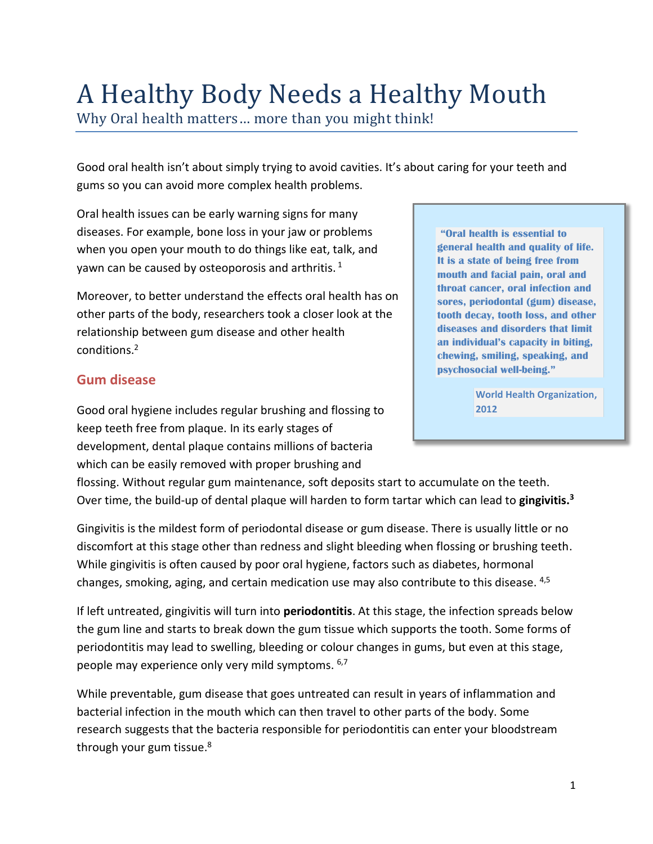# A Healthy Body Needs a Healthy Mouth

Why Oral health matters… more than you might think!

Good oral health isn't about simply trying to avoid cavities. It's about caring for your teeth and gums so you can avoid more complex health problems.

Oral health issues can be early warning signs for many diseases. For example, bone loss in your jaw or problems when you open your mouth to do things like eat, talk, and yawn can be caused by osteoporosis and arthritis.  $^{1}$ 

Moreover, to better understand the effects oral health has on other parts of the body, researchers took a closer look at the relationship between gum disease and other health conditions. 2

### **Gum disease**

Good oral hygiene includes regular brushing and flossing to keep teeth free from plaque. In its early stages of development, dental plaque contains millions of bacteria which can be easily removed with proper brushing and

**"Oral health is essential to general health and quality of life. It is a state of being free from mouth and facial pain, oral and throat cancer, oral infection and sores, periodontal (gum) disease, tooth decay, tooth loss, and other diseases and disorders that limit an individual's capacity in biting, chewing, smiling, speaking, and psychosocial well-being."** 

> **World Health Organization, 2012**

flossing. Without regular gum maintenance, soft deposits start to accumulate on the teeth. Over time, the build-up of dental plaque will harden to form tartar which can lead to **gingivitis. 3**

Gingivitis is the mildest form of periodontal disease or gum disease. There is usually little or no discomfort at this stage other than redness and slight bleeding when flossing or brushing teeth. While gingivitis is often caused by poor oral hygiene, factors such as diabetes, hormonal changes, smoking, aging, and certain medication use may also contribute to this disease. <sup>4,5</sup>

If left untreated, gingivitis will turn into **periodontitis**. At this stage, the infection spreads below the gum line and starts to break down the gum tissue which supports the tooth. Some forms of periodontitis may lead to swelling, bleeding or colour changes in gums, but even at this stage, people may experience only very mild symptoms. <sup>6,7</sup>

While preventable, gum disease that goes untreated can result in years of inflammation and bacterial infection in the mouth which can then travel to other parts of the body. Some research suggests that the bacteria responsible for periodontitis can enter your bloodstream through your gum tissue.<sup>8</sup>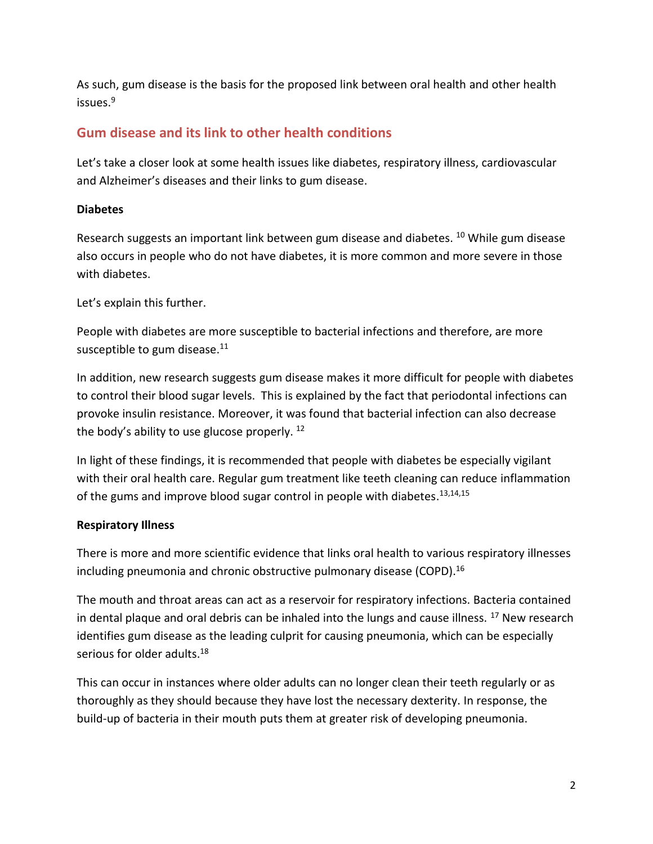As such, gum disease is the basis for the proposed link between oral health and other health issues.<sup>9</sup>

# **Gum disease and its link to other health conditions**

Let's take a closer look at some health issues like diabetes, respiratory illness, cardiovascular and Alzheimer's diseases and their links to gum disease.

#### **Diabetes**

Research suggests an important link between gum disease and diabetes. <sup>10</sup> While gum disease also occurs in people who do not have diabetes, it is more common and more severe in those with diabetes.

Let's explain this further.

People with diabetes are more susceptible to bacterial infections and therefore, are more susceptible to gum disease.<sup>11</sup>

In addition, new research suggests gum disease makes it more difficult for people with diabetes to control their blood sugar levels. This is explained by the fact that periodontal infections can provoke insulin resistance. Moreover, it was found that bacterial infection can also decrease the body's ability to use glucose properly. <sup>12</sup>

In light of these findings, it is recommended that people with diabetes be especially vigilant with their oral health care. Regular gum treatment like teeth cleaning can reduce inflammation of the gums and improve blood sugar control in people with diabetes.<sup>13,14,15</sup>

#### **Respiratory Illness**

There is more and more scientific evidence that links oral health to various respiratory illnesses including pneumonia and chronic obstructive pulmonary disease (COPD).<sup>16</sup>

The mouth and throat areas can act as a reservoir for respiratory infections. Bacteria contained in dental plaque and oral debris can be inhaled into the lungs and cause illness.  $^{17}$  New research identifies gum disease as the leading culprit for causing pneumonia, which can be especially serious for older adults.<sup>18</sup>

This can occur in instances where older adults can no longer clean their teeth regularly or as thoroughly as they should because they have lost the necessary dexterity. In response, the build-up of bacteria in their mouth puts them at greater risk of developing pneumonia.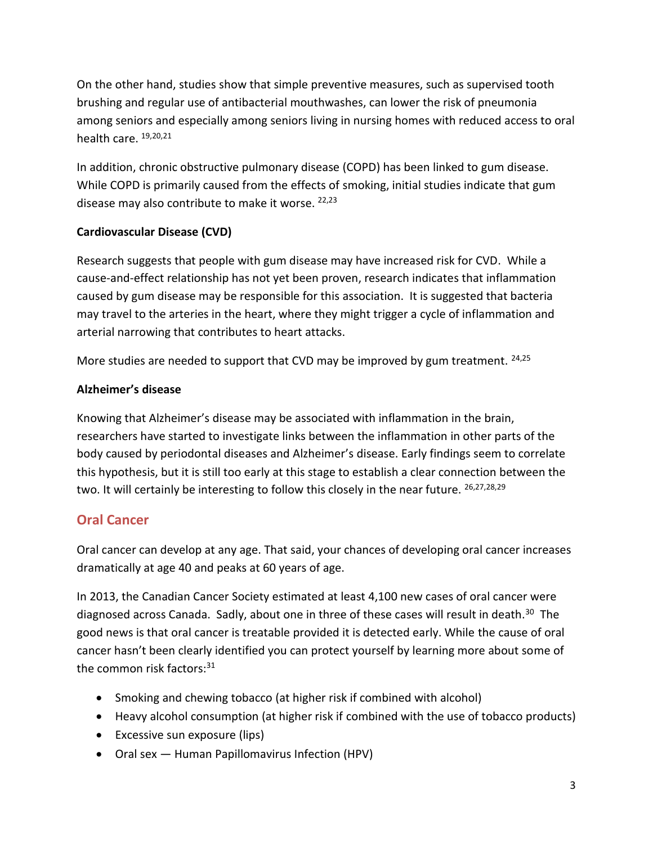On the other hand, studies show that simple preventive measures, such as supervised tooth brushing and regular use of antibacterial mouthwashes, can lower the risk of pneumonia among seniors and especially among seniors living in nursing homes with reduced access to oral health care. <sup>19,20,21</sup>

In addition, chronic obstructive pulmonary disease (COPD) has been linked to gum disease. While COPD is primarily caused from the effects of smoking, initial studies indicate that gum disease may also contribute to make it worse. <sup>22,23</sup>

#### **Cardiovascular Disease (CVD)**

Research suggests that people with gum disease may have increased risk for CVD. While a cause-and-effect relationship has not yet been proven, research indicates that inflammation caused by gum disease may be responsible for this association. It is suggested that bacteria may travel to the arteries in the heart, where they might trigger a cycle of inflammation and arterial narrowing that contributes to heart attacks.

More studies are needed to support that CVD may be improved by gum treatment. <sup>24,25</sup>

#### **Alzheimer's disease**

Knowing that Alzheimer's disease may be associated with inflammation in the brain, researchers have started to investigate links between the inflammation in other parts of the body caused by periodontal diseases and Alzheimer's disease. Early findings seem to correlate this hypothesis, but it is still too early at this stage to establish a clear connection between the two. It will certainly be interesting to follow this closely in the near future.  $26,27,28,29$ 

## **Oral Cancer**

Oral cancer can develop at any age. That said, your chances of developing oral cancer increases dramatically at age 40 and peaks at 60 years of age.

In 2013, the Canadian Cancer Society estimated at least 4,100 new cases of oral cancer were diagnosed across Canada. Sadly, about one in three of these cases will result in death.<sup>30</sup> The good news is that oral cancer is treatable provided it is detected early. While the cause of oral cancer hasn't been clearly identified you can protect yourself by learning more about some of the common risk factors: 31

- Smoking and chewing tobacco (at higher risk if combined with alcohol)
- Heavy alcohol consumption (at higher risk if combined with the use of tobacco products)
- Excessive sun exposure (lips)
- Oral sex Human Papillomavirus Infection (HPV)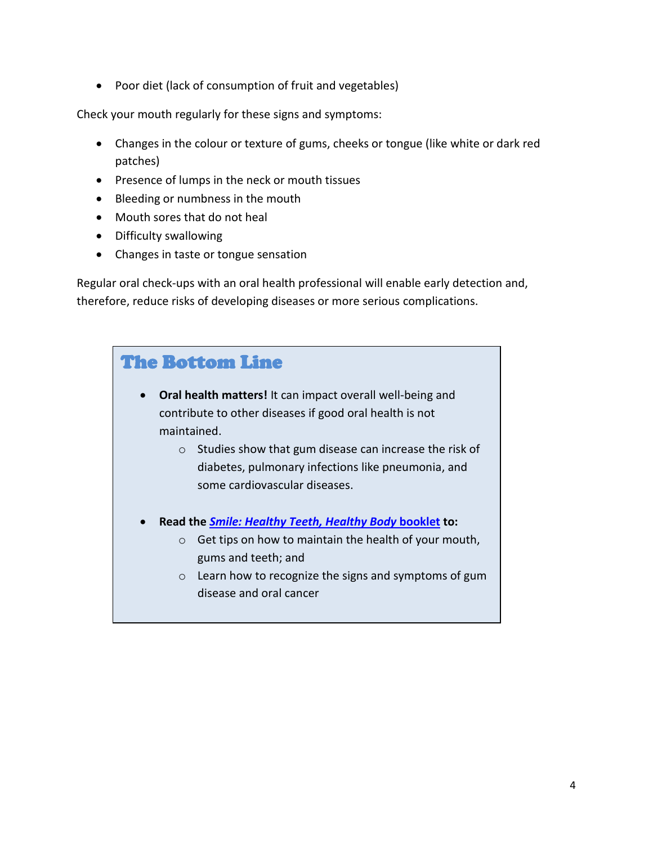• Poor diet (lack of consumption of fruit and vegetables)

Check your mouth regularly for these signs and symptoms:

- Changes in the colour or texture of gums, cheeks or tongue (like white or dark red patches)
- Presence of lumps in the neck or mouth tissues
- Bleeding or numbness in the mouth
- Mouth sores that do not heal
- Difficulty swallowing
- Changes in taste or tongue sensation

Regular oral check-ups with an oral health professional will enable early detection and, therefore, reduce risks of developing diseases or more serious complications.

| <b>The Bottom Line</b>                                                        |  |
|-------------------------------------------------------------------------------|--|
|                                                                               |  |
| <b>Oral health matters!</b> It can impact overall well-being and<br>$\bullet$ |  |
| contribute to other diseases if good oral health is not                       |  |
| maintained.                                                                   |  |
| Studies show that gum disease can increase the risk of<br>$\circ$             |  |
| diabetes, pulmonary infections like pneumonia, and                            |  |
| some cardiovascular diseases.                                                 |  |
|                                                                               |  |
| Read the <i>Smile: Healthy Teeth, Healthy Body</i> booklet to:<br>$\bullet$   |  |
| Get tips on how to maintain the health of your mouth,<br>$\circ$              |  |
| gums and teeth; and                                                           |  |
| Learn how to recognize the signs and symptoms of gum<br>$\circ$               |  |
| disease and oral cancer                                                       |  |
|                                                                               |  |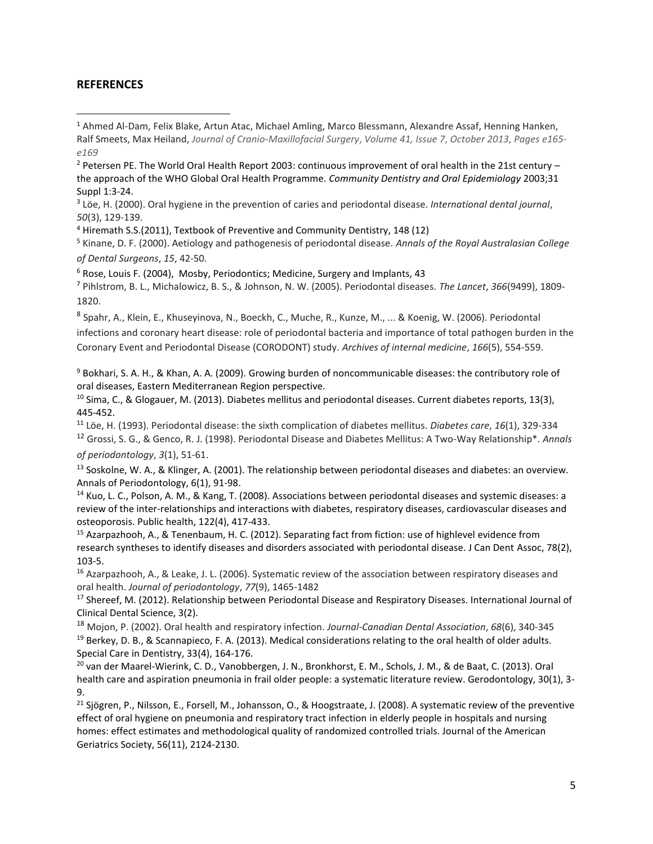#### **REFERENCES**

 $\overline{\phantom{a}}$ 

3 Löe, H. (2000). Oral hygiene in the prevention of caries and periodontal disease. *International dental journal*, *50*(3), 129-139.

<sup>4</sup> Hiremath S.S.(2011), Textbook of Preventive and Community Dentistry, 148 (12)

<sup>5</sup> Kinane, D. F. (2000). Aetiology and pathogenesis of periodontal disease. *Annals of the Royal Australasian College of Dental Surgeons*, *15*, 42-50.

 $6$  Rose, Louis F. (2004), Mosby, Periodontics; Medicine, Surgery and Implants, 43

<sup>7</sup> Pihlstrom, B. L., Michalowicz, B. S., & Johnson, N. W. (2005). Periodontal diseases. *The Lancet*, *366*(9499), 1809- 1820.

8 Spahr, A., Klein, E., Khuseyinova, N., Boeckh, C., Muche, R., Kunze, M., ... & Koenig, W. (2006). Periodontal

infections and coronary heart disease: role of periodontal bacteria and importance of total pathogen burden in the Coronary Event and Periodontal Disease (CORODONT) study. *Archives of internal medicine*, *166*(5), 554-559.

<sup>9</sup> Bokhari, S. A. H., & Khan, A. A. (2009). Growing burden of noncommunicable diseases: the contributory role of oral diseases, Eastern Mediterranean Region perspective.

<sup>10</sup> Sima, C., & Glogauer, M. (2013). Diabetes mellitus and periodontal diseases. Current diabetes reports, 13(3), 445-452.

<sup>11</sup> Löe, H. (1993). Periodontal disease: the sixth complication of diabetes mellitus. *Diabetes care*, *16*(1), 329-334

<sup>12</sup> Grossi, S. G., & Genco, R. J. (1998). Periodontal Disease and Diabetes Mellitus: A Two-Way Relationship\*. *Annals of periodontology*, *3*(1), 51-61.

<sup>13</sup> Soskolne, W. A., & Klinger, A. (2001). The relationship between periodontal diseases and diabetes: an overview. Annals of Periodontology, 6(1), 91-98.

<sup>14</sup> Kuo, L. C., Polson, A. M., & Kang, T. (2008). Associations between periodontal diseases and systemic diseases: a review of the inter-relationships and interactions with diabetes, respiratory diseases, cardiovascular diseases and osteoporosis. Public health, 122(4), 417-433.

<sup>15</sup> Azarpazhooh, A., & Tenenbaum, H. C. (2012). Separating fact from fiction: use of highlevel evidence from research syntheses to identify diseases and disorders associated with periodontal disease. J Can Dent Assoc, 78(2), 103-5.

<sup>16</sup> Azarpazhooh, A., & Leake, J. L. (2006). Systematic review of the association between respiratory diseases and oral health. *Journal of periodontology*, *77*(9), 1465-1482

<sup>17</sup> Shereef, M. (2012). Relationship between Periodontal Disease and Respiratory Diseases. International Journal of Clinical Dental Science, 3(2).

<sup>18</sup> Mojon, P. (2002). Oral health and respiratory infection. *Journal-Canadian Dental Association*, *68*(6), 340-345 <sup>19</sup> Berkey, D. B., & Scannapieco, F. A. (2013). Medical considerations relating to the oral health of older adults. Special Care in Dentistry, 33(4), 164-176.

<sup>20</sup> van der Maarel-Wierink, C. D., Vanobbergen, J. N., Bronkhorst, E. M., Schols, J. M., & de Baat, C. (2013). Oral health care and aspiration pneumonia in frail older people: a systematic literature review. Gerodontology, 30(1), 3- 9.

<sup>21</sup> Sjögren, P., Nilsson, E., Forsell, M., Johansson, O., & Hoogstraate, J. (2008). A systematic review of the preventive effect of oral hygiene on pneumonia and respiratory tract infection in elderly people in hospitals and nursing homes: effect estimates and methodological quality of randomized controlled trials. Journal of the American Geriatrics Society, 56(11), 2124-2130.

<sup>1</sup> Ahmed Al-Dam, Felix Blake, Artun Atac, Michael Amling, Marco Blessmann, Alexandre Assaf, Henning Hanken, Ralf Smeets, Max Heiland, *Journal of Cranio-Maxillofacial Surgery*, *Volume 41, Issue 7*, *October 2013*, *Pages e165 e169*

 $2$  Petersen PE. The World Oral Health Report 2003: continuous improvement of oral health in the 21st century – the approach of the WHO Global Oral Health Programme. *Community Dentistry and Oral Epidemiology* 2003;31 Suppl 1:3-24.